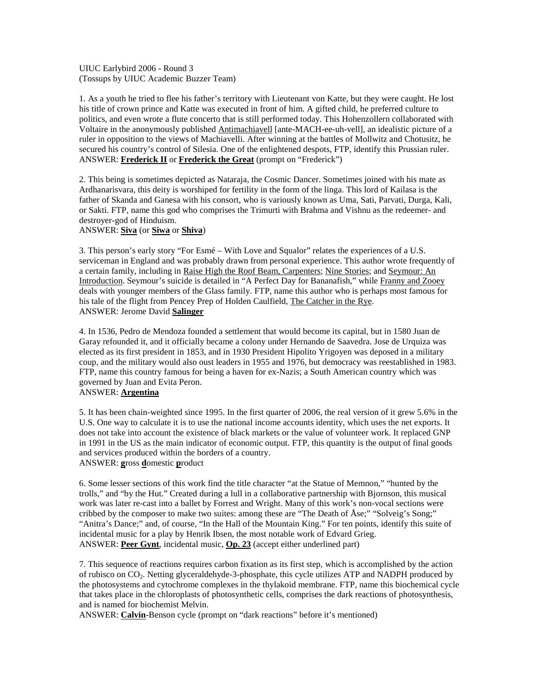UIUC Earlybird 2006 - Round 3 (Tossups by UIUC Academic Buzzer Team)

1. As a youth he tried to flee his father's territory with Lieutenant von Katte, but they were caught. He lost his title of crown prince and Katte was executed in front of him. A gifted child, he preferred culture to politics, and even wrote a flute concerto that is still performed today. This Hohenzollern collaborated with Voltaire in the anonymously published Antimachiavell [ante-MACH-ee-uh-vell], an idealistic picture of a ruler in opposition to the views of Machiavelli. After winning at the battles of Mollwitz and Chotusitz, he secured his country's control of Silesia. One of the enlightened despots, FTP, identify this Prussian ruler. ANSWER: **Frederick II** or **Frederick the Great** (prompt on "Frederick")

2. This being is sometimes depicted as Nataraja, the Cosmic Dancer. Sometimes joined with his mate as Ardhanarisvara, this deity is worshiped for fertility in the form of the linga. This lord of Kailasa is the father of Skanda and Ganesa with his consort, who is variously known as Uma, Sati, Parvati, Durga, Kali, or Sakti. FTP, name this god who comprises the Trimurti with Brahma and Vishnu as the redeemer- and destroyer-god of Hinduism.

#### ANSWER: **Siva** (or **Siwa** or **Shiva**)

3. This person's early story "For Esmé – With Love and Squalor" relates the experiences of a U.S. serviceman in England and was probably drawn from personal experience. This author wrote frequently of a certain family, including in Raise High the Roof Beam, Carpenters; Nine Stories; and Seymour: An Introduction. Seymour's suicide is detailed in "A Perfect Day for Bananafish," while Franny and Zooey deals with younger members of the Glass family. FTP, name this author who is perhaps most famous for his tale of the flight from Pencey Prep of Holden Caulfield, The Catcher in the Rye. ANSWER: Jerome David **Salinger**

4. In 1536, Pedro de Mendoza founded a settlement that would become its capital, but in 1580 Juan de Garay refounded it, and it officially became a colony under Hernando de Saavedra. Jose de Urquiza was elected as its first president in 1853, and in 1930 President Hipolito Yrigoyen was deposed in a military coup, and the military would also oust leaders in 1955 and 1976, but democracy was reestablished in 1983. FTP, name this country famous for being a haven for ex-Nazis; a South American country which was governed by Juan and Evita Peron.

#### ANSWER: **Argentina**

5. It has been chain-weighted since 1995. In the first quarter of 2006, the real version of it grew 5.6% in the U.S. One way to calculate it is to use the national income accounts identity, which uses the net exports. It does not take into account the existence of black markets or the value of volunteer work. It replaced GNP in 1991 in the US as the main indicator of economic output. FTP, this quantity is the output of final goods and services produced within the borders of a country. ANSWER: **g**ross **d**omestic **p**roduct

6. Some lesser sections of this work find the title character "at the Statue of Memnon," "hunted by the trolls," and "by the Hut." Created during a lull in a collaborative partnership with Bjornson, this musical work was later re-cast into a ballet by Forrest and Wright. Many of this work's non-vocal sections were cribbed by the composer to make two suites: among these are "The Death of Åse;" "Solveig's Song;" "Anitra's Dance;" and, of course, "In the Hall of the Mountain King." For ten points, identify this suite of incidental music for a play by Henrik Ibsen, the most notable work of Edvard Grieg. ANSWER: **Peer Gynt**, incidental music, **Op. 23** (accept either underlined part)

7. This sequence of reactions requires carbon fixation as its first step, which is accomplished by the action of rubisco on CO2. Netting glyceraldehyde-3-phosphate, this cycle utilizes ATP and NADPH produced by the photosystems and cytochrome complexes in the thylakoid membrane. FTP, name this biochemical cycle that takes place in the chloroplasts of photosynthetic cells, comprises the dark reactions of photosynthesis, and is named for biochemist Melvin.

ANSWER: **Calvin**-Benson cycle (prompt on "dark reactions" before it's mentioned)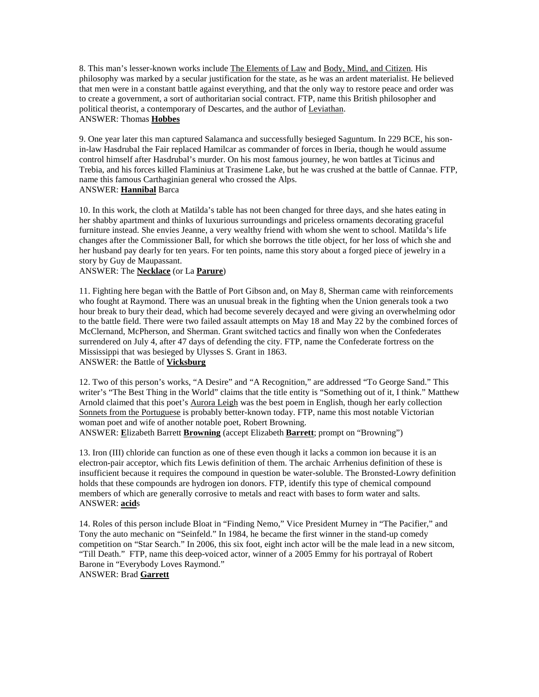8. This man's lesser-known works include The Elements of Law and Body, Mind, and Citizen. His philosophy was marked by a secular justification for the state, as he was an ardent materialist. He believed that men were in a constant battle against everything, and that the only way to restore peace and order was to create a government, a sort of authoritarian social contract. FTP, name this British philosopher and political theorist, a contemporary of Descartes, and the author of Leviathan. ANSWER: Thomas **Hobbes**

9. One year later this man captured Salamanca and successfully besieged Saguntum. In 229 BCE, his sonin-law Hasdrubal the Fair replaced Hamilcar as commander of forces in Iberia, though he would assume control himself after Hasdrubal's murder. On his most famous journey, he won battles at Ticinus and Trebia, and his forces killed Flaminius at Trasimene Lake, but he was crushed at the battle of Cannae. FTP, name this famous Carthaginian general who crossed the Alps. ANSWER: **Hannibal** Barca

10. In this work, the cloth at Matilda's table has not been changed for three days, and she hates eating in her shabby apartment and thinks of luxurious surroundings and priceless ornaments decorating graceful furniture instead. She envies Jeanne, a very wealthy friend with whom she went to school. Matilda's life changes after the Commissioner Ball, for which she borrows the title object, for her loss of which she and her husband pay dearly for ten years. For ten points, name this story about a forged piece of jewelry in a story by Guy de Maupassant.

# ANSWER: The **Necklace** (or La **Parure**)

11. Fighting here began with the Battle of Port Gibson and, on May 8, Sherman came with reinforcements who fought at Raymond. There was an unusual break in the fighting when the Union generals took a two hour break to bury their dead, which had become severely decayed and were giving an overwhelming odor to the battle field. There were two failed assault attempts on May 18 and May 22 by the combined forces of McClernand, McPherson, and Sherman. Grant switched tactics and finally won when the Confederates surrendered on July 4, after 47 days of defending the city. FTP, name the Confederate fortress on the Mississippi that was besieged by Ulysses S. Grant in 1863. ANSWER: the Battle of **Vicksburg**

12. Two of this person's works, "A Desire" and "A Recognition," are addressed "To George Sand." This writer's "The Best Thing in the World" claims that the title entity is "Something out of it, I think." Matthew Arnold claimed that this poet's Aurora Leigh was the best poem in English, though her early collection Sonnets from the Portuguese is probably better-known today. FTP, name this most notable Victorian woman poet and wife of another notable poet, Robert Browning.

ANSWER: **E**lizabeth Barrett **Browning** (accept Elizabeth **Barrett**; prompt on "Browning")

13. Iron (III) chloride can function as one of these even though it lacks a common ion because it is an electron-pair acceptor, which fits Lewis definition of them. The archaic Arrhenius definition of these is insufficient because it requires the compound in question be water-soluble. The Bronsted-Lowry definition holds that these compounds are hydrogen ion donors. FTP, identify this type of chemical compound members of which are generally corrosive to metals and react with bases to form water and salts. ANSWER: **acid**s

14. Roles of this person include Bloat in "Finding Nemo," Vice President Murney in "The Pacifier," and Tony the auto mechanic on "Seinfeld." In 1984, he became the first winner in the stand-up comedy competition on "Star Search." In 2006, this six foot, eight inch actor will be the male lead in a new sitcom, "Till Death." FTP, name this deep-voiced actor, winner of a 2005 Emmy for his portrayal of Robert Barone in "Everybody Loves Raymond." ANSWER: Brad **Garrett**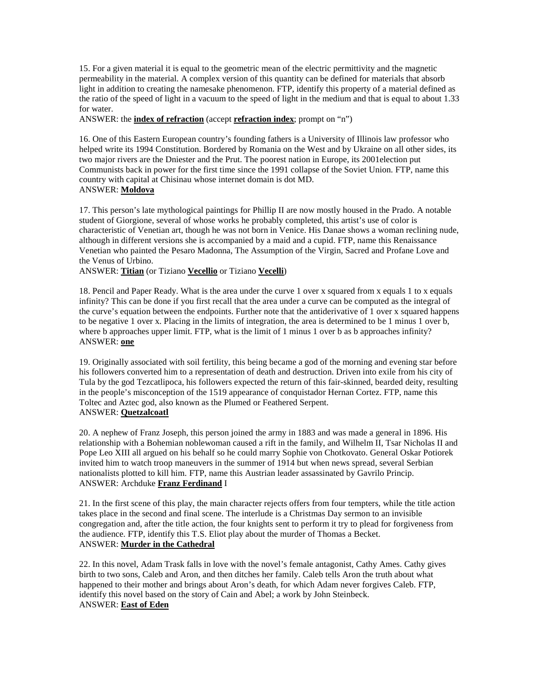15. For a given material it is equal to the geometric mean of the electric permittivity and the magnetic permeability in the material. A complex version of this quantity can be defined for materials that absorb light in addition to creating the namesake phenomenon. FTP, identify this property of a material defined as the ratio of the speed of light in a vacuum to the speed of light in the medium and that is equal to about 1.33 for water.

ANSWER: the **index of refraction** (accept **refraction index**; prompt on "n")

16. One of this Eastern European country's founding fathers is a University of Illinois law professor who helped write its 1994 Constitution. Bordered by Romania on the West and by Ukraine on all other sides, its two major rivers are the Dniester and the Prut. The poorest nation in Europe, its 2001election put Communists back in power for the first time since the 1991 collapse of the Soviet Union. FTP, name this country with capital at Chisinau whose internet domain is dot MD. ANSWER: **Moldova**

17. This person's late mythological paintings for Phillip II are now mostly housed in the Prado. A notable student of Giorgione, several of whose works he probably completed, this artist's use of color is characteristic of Venetian art, though he was not born in Venice. His Danae shows a woman reclining nude, although in different versions she is accompanied by a maid and a cupid. FTP, name this Renaissance Venetian who painted the Pesaro Madonna, The Assumption of the Virgin, Sacred and Profane Love and the Venus of Urbino.

ANSWER: **Titian** (or Tiziano **Vecellio** or Tiziano **Vecelli**)

18. Pencil and Paper Ready. What is the area under the curve 1 over x squared from x equals 1 to x equals infinity? This can be done if you first recall that the area under a curve can be computed as the integral of the curve's equation between the endpoints. Further note that the antiderivative of 1 over x squared happens to be negative 1 over x. Placing in the limits of integration, the area is determined to be 1 minus 1 over b, where b approaches upper limit. FTP, what is the limit of 1 minus 1 over b as b approaches infinity? ANSWER: **one**

19. Originally associated with soil fertility, this being became a god of the morning and evening star before his followers converted him to a representation of death and destruction. Driven into exile from his city of Tula by the god Tezcatlipoca, his followers expected the return of this fair-skinned, bearded deity, resulting in the people's misconception of the 1519 appearance of conquistador Hernan Cortez. FTP, name this Toltec and Aztec god, also known as the Plumed or Feathered Serpent. ANSWER: **Quetzalcoatl**

20. A nephew of Franz Joseph, this person joined the army in 1883 and was made a general in 1896. His relationship with a Bohemian noblewoman caused a rift in the family, and Wilhelm II, Tsar Nicholas II and Pope Leo XIII all argued on his behalf so he could marry Sophie von Chotkovato. General Oskar Potiorek invited him to watch troop maneuvers in the summer of 1914 but when news spread, several Serbian nationalists plotted to kill him. FTP, name this Austrian leader assassinated by Gavrilo Princip. ANSWER: Archduke **Franz Ferdinand** I

21. In the first scene of this play, the main character rejects offers from four tempters, while the title action takes place in the second and final scene. The interlude is a Christmas Day sermon to an invisible congregation and, after the title action, the four knights sent to perform it try to plead for forgiveness from the audience. FTP, identify this T.S. Eliot play about the murder of Thomas a Becket. ANSWER: **Murder in the Cathedral**

22. In this novel, Adam Trask falls in love with the novel's female antagonist, Cathy Ames. Cathy gives birth to two sons, Caleb and Aron, and then ditches her family. Caleb tells Aron the truth about what happened to their mother and brings about Aron's death, for which Adam never forgives Caleb. FTP, identify this novel based on the story of Cain and Abel; a work by John Steinbeck. ANSWER: **East of Eden**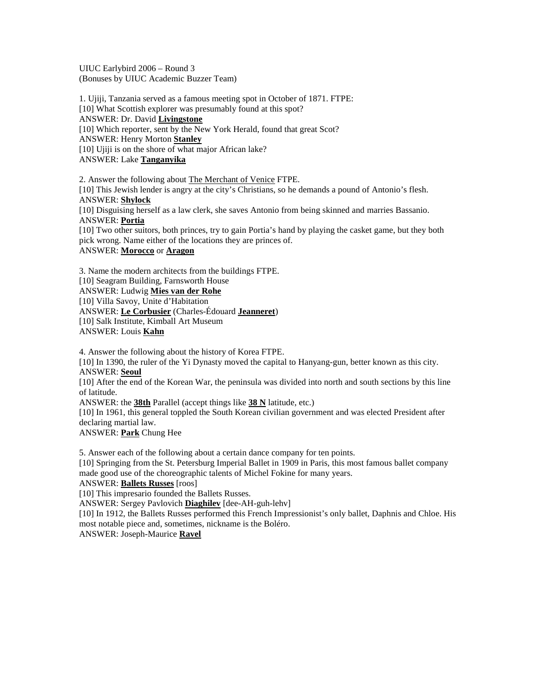UIUC Earlybird 2006 – Round 3 (Bonuses by UIUC Academic Buzzer Team)

1. Ujiji, Tanzania served as a famous meeting spot in October of 1871. FTPE: [10] What Scottish explorer was presumably found at this spot? ANSWER: Dr. David **Livingstone** [10] Which reporter, sent by the New York Herald, found that great Scot? ANSWER: Henry Morton **Stanley** [10] Ujiji is on the shore of what major African lake? ANSWER: Lake **Tanganyika**

2. Answer the following about The Merchant of Venice FTPE. [10] This Jewish lender is angry at the city's Christians, so he demands a pound of Antonio's flesh. ANSWER: **Shylock** [10] Disguising herself as a law clerk, she saves Antonio from being skinned and marries Bassanio. ANSWER: **Portia** [10] Two other suitors, both princes, try to gain Portia's hand by playing the casket game, but they both pick wrong. Name either of the locations they are princes of. ANSWER: **Morocco** or **Aragon** 3. Name the modern architects from the buildings FTPE.

[10] Seagram Building, Farnsworth House ANSWER: Ludwig **Mies van der Rohe** [10] Villa Savoy, Unite d'Habitation ANSWER: **Le Corbusier** (Charles-Édouard **Jeanneret**) [10] Salk Institute, Kimball Art Museum ANSWER: Louis **Kahn**

4. Answer the following about the history of Korea FTPE.

[10] In 1390, the ruler of the Yi Dynasty moved the capital to Hanyang-gun, better known as this city. ANSWER: **Seoul**

[10] After the end of the Korean War, the peninsula was divided into north and south sections by this line of latitude.

ANSWER: the **38th** Parallel (accept things like **38 N** latitude, etc.)

[10] In 1961, this general toppled the South Korean civilian government and was elected President after declaring martial law.

ANSWER: **Park** Chung Hee

5. Answer each of the following about a certain dance company for ten points.

[10] Springing from the St. Petersburg Imperial Ballet in 1909 in Paris, this most famous ballet company made good use of the choreographic talents of Michel Fokine for many years.

ANSWER: **Ballets Russes** [roos]

[10] This impresario founded the Ballets Russes.

ANSWER: Sergey Pavlovich **Diaghilev** [dee-AH-guh-lehv]

[10] In 1912, the Ballets Russes performed this French Impressionist's only ballet, Daphnis and Chloe. His most notable piece and, sometimes, nickname is the Boléro.

ANSWER: Joseph-Maurice **Ravel**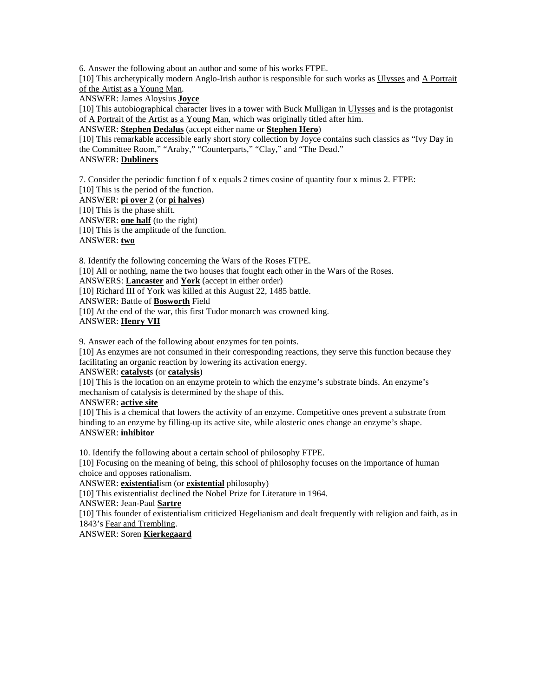6. Answer the following about an author and some of his works FTPE. [10] This archetypically modern Anglo-Irish author is responsible for such works as Ulysses and A Portrait of the Artist as a Young Man.

ANSWER: James Aloysius **Joyce**

[10] This autobiographical character lives in a tower with Buck Mulligan in Ulysses and is the protagonist of A Portrait of the Artist as a Young Man, which was originally titled after him.

ANSWER: **Stephen Dedalus** (accept either name or **Stephen Hero**)

[10] This remarkable accessible early short story collection by Joyce contains such classics as "Ivy Day in the Committee Room," "Araby," "Counterparts," "Clay," and "The Dead." ANSWER: **Dubliners**

7. Consider the periodic function f of x equals 2 times cosine of quantity four x minus 2. FTPE: [10] This is the period of the function. ANSWER: **pi over 2** (or **pi halves**) [10] This is the phase shift. ANSWER: **one half** (to the right) [10] This is the amplitude of the function. ANSWER: **two**

8. Identify the following concerning the Wars of the Roses FTPE. [10] All or nothing, name the two houses that fought each other in the Wars of the Roses. ANSWERS: **Lancaster** and **York** (accept in either order) [10] Richard III of York was killed at this August 22, 1485 battle. ANSWER: Battle of **Bosworth** Field [10] At the end of the war, this first Tudor monarch was crowned king. ANSWER: **Henry VII**

9. Answer each of the following about enzymes for ten points.

[10] As enzymes are not consumed in their corresponding reactions, they serve this function because they facilitating an organic reaction by lowering its activation energy.

ANSWER: **catalyst**s (or **catalysis**)

[10] This is the location on an enzyme protein to which the enzyme's substrate binds. An enzyme's mechanism of catalysis is determined by the shape of this.

ANSWER: **active site**

[10] This is a chemical that lowers the activity of an enzyme. Competitive ones prevent a substrate from binding to an enzyme by filling-up its active site, while alosteric ones change an enzyme's shape. ANSWER: **inhibitor**

10. Identify the following about a certain school of philosophy FTPE.

[10] Focusing on the meaning of being, this school of philosophy focuses on the importance of human choice and opposes rationalism.

ANSWER: **existential**ism (or **existential** philosophy)

[10] This existentialist declined the Nobel Prize for Literature in 1964.

ANSWER: Jean-Paul **Sartre**

[10] This founder of existentialism criticized Hegelianism and dealt frequently with religion and faith, as in 1843's Fear and Trembling.

ANSWER: Soren **Kierkegaard**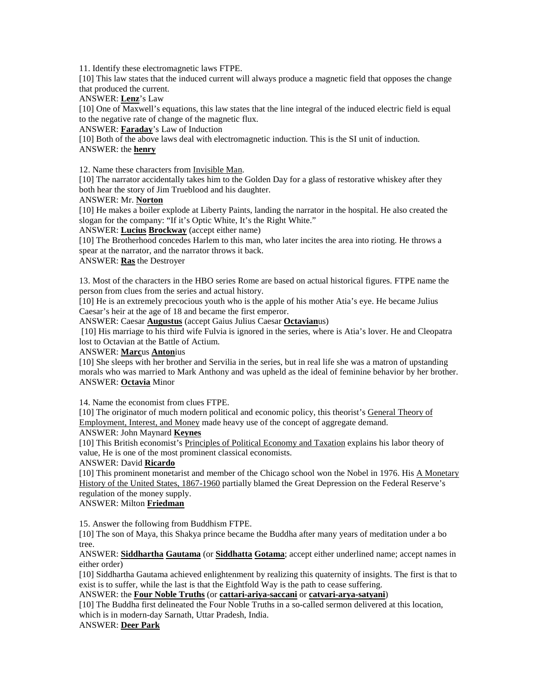11. Identify these electromagnetic laws FTPE.

[10] This law states that the induced current will always produce a magnetic field that opposes the change that produced the current.

ANSWER: **Lenz**'s Law

[10] One of Maxwell's equations, this law states that the line integral of the induced electric field is equal to the negative rate of change of the magnetic flux.

ANSWER: **Faraday**'s Law of Induction

[10] Both of the above laws deal with electromagnetic induction. This is the SI unit of induction. ANSWER: the **henry**

12. Name these characters from Invisible Man.

[10] The narrator accidentally takes him to the Golden Day for a glass of restorative whiskey after they both hear the story of Jim Trueblood and his daughter.

#### ANSWER: Mr. **Norton**

[10] He makes a boiler explode at Liberty Paints, landing the narrator in the hospital. He also created the slogan for the company: "If it's Optic White, It's the Right White."

ANSWER: **Lucius Brockway** (accept either name)

[10] The Brotherhood concedes Harlem to this man, who later incites the area into rioting. He throws a spear at the narrator, and the narrator throws it back.

## ANSWER: **Ras** the Destroyer

13. Most of the characters in the HBO series Rome are based on actual historical figures. FTPE name the person from clues from the series and actual history.

[10] He is an extremely precocious youth who is the apple of his mother Atia's eye. He became Julius Caesar's heir at the age of 18 and became the first emperor.

ANSWER: Caesar **Augustus** (accept Gaius Julius Caesar **Octavian**us)

 [10] His marriage to his third wife Fulvia is ignored in the series, where is Atia's lover. He and Cleopatra lost to Octavian at the Battle of Actium.

## ANSWER: **Marc**us **Anton**ius

[10] She sleeps with her brother and Servilia in the series, but in real life she was a matron of upstanding morals who was married to Mark Anthony and was upheld as the ideal of feminine behavior by her brother. ANSWER: **Octavia** Minor

14. Name the economist from clues FTPE.

[10] The originator of much modern political and economic policy, this theorist's General Theory of Employment, Interest, and Money made heavy use of the concept of aggregate demand.

ANSWER: John Maynard **Keynes**

[10] This British economist's Principles of Political Economy and Taxation explains his labor theory of value, He is one of the most prominent classical economists.

## ANSWER: David **Ricardo**

[10] This prominent monetarist and member of the Chicago school won the Nobel in 1976. His A Monetary History of the United States, 1867-1960 partially blamed the Great Depression on the Federal Reserve's regulation of the money supply.

## ANSWER: Milton **Friedman**

15. Answer the following from Buddhism FTPE.

[10] The son of Maya, this Shakya prince became the Buddha after many years of meditation under a bo tree.

ANSWER: **Siddhartha Gautama** (or **Siddhatta Gotama**; accept either underlined name; accept names in either order)

[10] Siddhartha Gautama achieved enlightenment by realizing this quaternity of insights. The first is that to exist is to suffer, while the last is that the Eightfold Way is the path to cease suffering.

ANSWER: the **Four Noble Truths** (or **cattari-ariya-saccani** or **catvari-arya-satyani**)

[10] The Buddha first delineated the Four Noble Truths in a so-called sermon delivered at this location, which is in modern-day Sarnath, Uttar Pradesh, India.

## ANSWER: **Deer Park**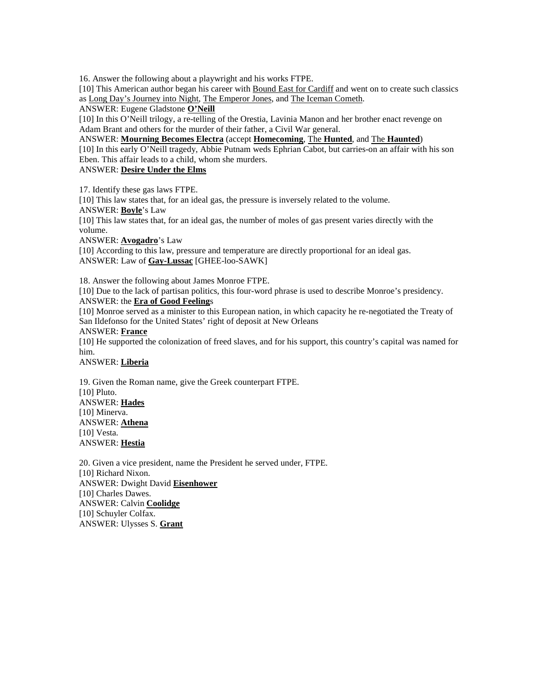16. Answer the following about a playwright and his works FTPE.

[10] This American author began his career with Bound East for Cardiff and went on to create such classics as Long Day's Journey into Night, The Emperor Jones, and The Iceman Cometh.

ANSWER: Eugene Gladstone **O'Neill**

[10] In this O'Neill trilogy, a re-telling of the Orestia, Lavinia Manon and her brother enact revenge on Adam Brant and others for the murder of their father, a Civil War general.

ANSWER: **Mourning Becomes Electra** (accept **Homecoming**, The **Hunted**, and The **Haunted**) [10] In this early O'Neill tragedy, Abbie Putnam weds Ephrian Cabot, but carries-on an affair with his son Eben. This affair leads to a child, whom she murders.

ANSWER: **Desire Under the Elms**

17. Identify these gas laws FTPE.

[10] This law states that, for an ideal gas, the pressure is inversely related to the volume.

ANSWER: **Boyle**'s Law

[10] This law states that, for an ideal gas, the number of moles of gas present varies directly with the volume.

ANSWER: **Avogadro**'s Law

[10] According to this law, pressure and temperature are directly proportional for an ideal gas. ANSWER: Law of **Gay-Lussac** [GHEE-loo-SAWK]

18. Answer the following about James Monroe FTPE.

[10] Due to the lack of partisan politics, this four-word phrase is used to describe Monroe's presidency.

## ANSWER: the **Era of Good Feeling**s

[10] Monroe served as a minister to this European nation, in which capacity he re-negotiated the Treaty of San Ildefonso for the United States' right of deposit at New Orleans

#### ANSWER: **France**

[10] He supported the colonization of freed slaves, and for his support, this country's capital was named for him.

ANSWER: **Liberia**

19. Given the Roman name, give the Greek counterpart FTPE. [10] Pluto. ANSWER: **Hades** [10] Minerva. ANSWER: **Athena** [10] Vesta. ANSWER: **Hestia**

20. Given a vice president, name the President he served under, FTPE. [10] Richard Nixon. ANSWER: Dwight David **Eisenhower** [10] Charles Dawes. ANSWER: Calvin **Coolidge** [10] Schuyler Colfax. ANSWER: Ulysses S. **Grant**